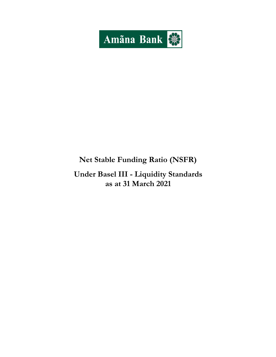

# **Net Stable Funding Ratio (NSFR)**

**Under Basel III - Liquidity Standards as at 31 March 2021**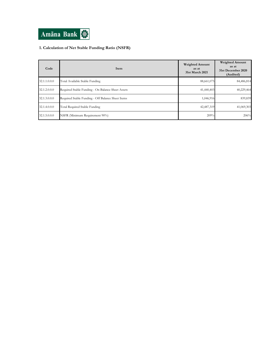

## **1. Calculation of Net Stable Funding Ratio (NSFR)**

| Code         | Item                                              | <b>Weighted Amount</b><br>as at<br>31st March 2021 | <b>Weighted Amount</b><br>as at<br>31st December 2020<br>(Audited) |
|--------------|---------------------------------------------------|----------------------------------------------------|--------------------------------------------------------------------|
| 32.1.1.0.0.0 | Total Available Stable Funding                    | 88,661,075                                         | 84,486,814                                                         |
| 32.1.2.0.0.0 | Required Stable Funding - On Balance Sheet Assets | 41,440,403                                         | 40,229,464                                                         |
| 32.1.3.0.0.0 | Required Stable Funding - Off Balance Sheet Items | 1,046,916                                          | 839,839                                                            |
| 32.1.4.0.0.0 | Total Required Stable Funding                     | 42,487,319                                         | 41,069,303                                                         |
| 32.1.5.0.0.0 | NSFR (Minimum Requirement 90%)                    | 209%                                               | 206%                                                               |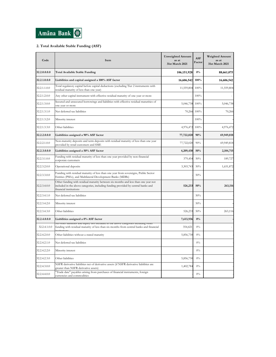

### **2. Total Available Stable Funding (ASF)**

| Code         | Item                                                                                                                                                                                              | <b>Unweighted Amount</b><br>as at<br>31st March 2021 | <b>ASF</b><br>Factor | <b>Weighted Amount</b><br>as at<br>31st March 2021 |
|--------------|---------------------------------------------------------------------------------------------------------------------------------------------------------------------------------------------------|------------------------------------------------------|----------------------|----------------------------------------------------|
| 32.2.0.0.0.0 | <b>Total Available Stable Funding</b>                                                                                                                                                             | 106,151,928                                          | 0%                   | 88,661,075                                         |
| 32.2.1.0.0.0 | Liabilities and capital assigned a 100% ASF factor                                                                                                                                                | 16,606,542                                           | 100%                 | 16,606,542                                         |
| 32.2.1.1.0.0 | Total regulatory capital before capital deductions (excluding Tier 2 instruments with<br>residual maturity of less than one year)                                                                 | 11,559,804                                           | 100%                 | 11,559,804                                         |
| 32.2.1.2.0.0 | Any other capital instrument with effective residual maturity of one year or more                                                                                                                 |                                                      | 100%                 |                                                    |
| 32.2.1.3.0.0 | Secured and unsecured borrowings and liabilities with effective residual maturities of<br>one year or more                                                                                        | 5,046,738                                            | 100%                 | 5,046,738                                          |
| 32.2.1.3.1.0 | Net deferred tax liabilities                                                                                                                                                                      | 70,266                                               | 100%                 | 70,266                                             |
| 32.2.1.3.2.0 | Minority interest                                                                                                                                                                                 |                                                      | 100%                 |                                                    |
| 32.2.1.3.3.0 | Other liabilities                                                                                                                                                                                 | 4,976,472                                            | 100%                 | 4,976,472                                          |
| 32.2.2.0.0.0 | Liabilities assigned a 90% ASF factor                                                                                                                                                             | 77,722,020                                           | 90%                  | 69,949,818                                         |
| 32.2.2.1.0.0 | Non-maturity deposits and term deposits with residual maturity of less than one year<br>provided by retail customers and SME                                                                      | 77,722,020                                           | 90%                  | 69,949,818                                         |
| 32.2.3.0.0.0 | Liabilities assigned a 50% ASF factor                                                                                                                                                             | 4,209,430                                            | 50%                  | 2,104,715                                          |
| 32.2.3.1.0.0 | Funding with residual maturity of less than one year provided by non-financial<br>corporate customers                                                                                             | 379,454                                              | 50%                  | 189,727                                            |
| 32.2.3.2.0.0 | Operational deposits                                                                                                                                                                              | 3,303,743                                            | 50%                  | 1,651,872                                          |
| 32.2.3.3.0.0 | Funding with residual maturity of less than one year from sovereigns, Public Sector<br>Entities (PSEs), and Multilateral Development Banks (MDBs)                                                 |                                                      | 50%                  |                                                    |
| 32.2.3.4.0.0 | Other funding with residual maturity between six months and less than one year not<br>included in the above categories, including funding provided by central banks and<br>financial institutions | 526,233                                              | 50%                  | 263,116                                            |
| 32.2.3.4.1.0 | Net deferred tax liabilities                                                                                                                                                                      |                                                      | 50%                  |                                                    |
| 32.2.3.4.2.0 | Minority interest                                                                                                                                                                                 |                                                      | 50%                  |                                                    |
| 32.2.3.4.3.0 | Other liabilities                                                                                                                                                                                 | 526,233                                              | 50%                  | 263,116                                            |
| 32.2.4.0.0.0 | Liabilities assigned a 0% ASF factor                                                                                                                                                              | 7,613,936                                            | $0\%$                |                                                    |
| 32.2.4.1.0.0 | An other nabilities and equity not included in the above categories including other<br>funding with residual maturity of less than six months from central banks and financial                    | 354,421                                              | $0\%$                |                                                    |
| 32.2.4.2.0.0 | Other liabilities without a stated maturity                                                                                                                                                       | 5,856,730                                            | $0\%$                |                                                    |
| 32.2.4.2.1.0 | Net deferred tax liabilities                                                                                                                                                                      |                                                      | $0\%$                |                                                    |
| 32.2.4.2.2.0 | Minority interest                                                                                                                                                                                 |                                                      | $0\%$                |                                                    |
| 32.2.4.2.3.0 | Other liabilities                                                                                                                                                                                 | 5,856,730                                            | $0\%$                |                                                    |
| 32.2.4.3.0.0 | NSFR derivative liabilities net of derivative assets (if NSFR derivative liabilities are<br>greater than NSFR derivative assets)                                                                  | 1,402,784                                            | $0\%$                |                                                    |
| 32.2.4.4.0.0 | "Trade date" payables arising from purchases of financial instruments, foreign<br>currencies and commodities                                                                                      |                                                      | $0\%$                |                                                    |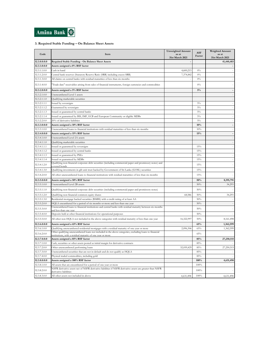

### **3. Required Stable Funding – On Balance Sheet Assets**

| Code         | Item                                                                                                                                                               | <b>Unweighted Amount</b><br>as at<br>31st March 2021 | ASF<br>Factor | <b>Weighted Amount</b><br>as at<br>31st March 2021 |
|--------------|--------------------------------------------------------------------------------------------------------------------------------------------------------------------|------------------------------------------------------|---------------|----------------------------------------------------|
| 32.3.0.0.0.0 | Required Stable Funding - On Balance Sheet Assets                                                                                                                  |                                                      |               | 41,440,403                                         |
| 32.3.1.0.0.0 | Assets assigned a 0% RSF factor                                                                                                                                    |                                                      |               | $\overline{\phantom{a}}$                           |
| 32.3.1.1.0.0 | Cash in hand                                                                                                                                                       | 4,600,215                                            | $0\%$         | $\bar{z}$                                          |
| 32.3.1.2.0.0 | Central bank reserves (Statutory Reserve Ratio (SRR) including excess SRR)                                                                                         | 7,374,842                                            | $0\%$         | ä,                                                 |
| 32.3.1.3.0.0 | All claims on central banks with residual maturities of less than six months                                                                                       |                                                      | $0\%$         | $\bar{\phantom{a}}$                                |
| 32.3.1.4.0.0 | Trade date" receivables arising from sales of financial instruments, foreign currencies and commodities                                                            |                                                      | $0\%$         |                                                    |
| 32.3.2.0.0.0 | Assets assigned a 5% RSF factor                                                                                                                                    |                                                      | $5\%$         | $\Box$                                             |
| 32.3.2.1.0.0 | Unencumbered Level 1 assets                                                                                                                                        |                                                      |               | $\overline{\phantom{a}}$                           |
| 32.3.2.1.1.0 | Qualifying marketable securities                                                                                                                                   |                                                      |               | $\overline{\phantom{a}}$                           |
| 32.3.2.1.1.1 | Issued by sovereigns                                                                                                                                               |                                                      | $5\%$         | $\overline{\phantom{a}}$                           |
| 32.3.2.1.1.2 | Guaranteed by sovereigns                                                                                                                                           |                                                      | $5\%$         | $\bar{\phantom{a}}$                                |
| 32.3.2.1.1.3 | Issued or guaranteed by central banks                                                                                                                              |                                                      | $5\%$         | $\bar{z}$                                          |
| 32.3.2.1.1.4 | Issued or guaranteed by BIS, IMF, ECB and European Community or eligible MDBs                                                                                      |                                                      | $5\%$         | $\overline{\phantom{a}}$                           |
| 32.3.2.2.0.0 | 20% of derivative liabilities                                                                                                                                      |                                                      | $5\%$         | $\bar{\phantom{a}}$                                |
| 32.3.3.0.0.0 | Assets assigned a 10% RSF factor                                                                                                                                   |                                                      | 10%           | $\overline{\phantom{a}}$                           |
| 32.3.3.1.0.0 | Unencumbered loans to financial institutions with residual maturities of less than six months                                                                      |                                                      | 10%           |                                                    |
| 32.3.4.0.0.0 | Assets assigned a 15% RSF factor                                                                                                                                   |                                                      | 15%           | $\blacksquare$                                     |
| 32.3.4.1.0.0 | Unencumbered Level 2A assets                                                                                                                                       |                                                      |               | $\bar{z}$                                          |
| 32.3.4.1.1.0 | Qualifying marketable securities                                                                                                                                   |                                                      |               | $\overline{\phantom{a}}$                           |
| 32.3.4.1.1.1 | Issued or guaranteed by sovereigns                                                                                                                                 |                                                      | 15%           | $\overline{\phantom{a}}$                           |
| 32.3.4.1.1.2 | Issued or guaranteed by central banks                                                                                                                              |                                                      | 15%           | $\overline{\phantom{a}}$                           |
| 32.3.4.1.1.3 | Issued or guaranteed by PSEs                                                                                                                                       |                                                      | 15%           | $\overline{\phantom{a}}$                           |
| 32.3.4.1.1.4 | Issued or guaranteed by MDBs                                                                                                                                       |                                                      | 15%           | $\overline{\phantom{a}}$                           |
| 32.3.4.1.2.0 | Qualifying non-financial corporate debt securities (including commercial paper and promissory notes) and<br>covered bonds                                          |                                                      | 15%           | $\overline{\phantom{a}}$                           |
| 32.3.4.1.3.0 | Qualifying investments in gilt unit trust backed by Government of Sri Lanka (GOSL) securities                                                                      |                                                      | 15%           | $\overline{\phantom{a}}$                           |
| 32.3.4.2.0.0 | All other unencumbered loans to financial institutions with residual maturities of less than six months                                                            |                                                      | 15%           |                                                    |
| 32.3.5.0.0.0 | Assets assigned a 50% RSF factor                                                                                                                                   |                                                      | 50%           | 8,195,791                                          |
| 32.3.5.1.0.0 | Unencumbered Level 2B assets                                                                                                                                       |                                                      | 50%           | 34,293                                             |
| 32.3.5.1.1.0 | Qualifying non-financial corporate debt securities (including commercial paper and promissory notes)                                                               |                                                      | 50%           |                                                    |
| 32.3.5.1.2.0 | Qualifying non-financial common equity shares                                                                                                                      | 68,586                                               | 50%           | 34,293                                             |
| 32.3.5.1.3.0 | Residential mortgage backed securities (RMBS) with a credit rating of at least AA                                                                                  |                                                      | 50%           |                                                    |
| 32.3.5.2.0.0 | HQLA encumbered for a period of six months or more and less than one year                                                                                          |                                                      | 50%           | $\overline{\phantom{a}}$                           |
| 32.3.5.3.0.0 | Unencumbered loans to financial institutions and central banks with residual maturity between six months<br>und less than one vear                                 |                                                      | 50%           |                                                    |
| 32.3.5.4.0.0 | Deposits held at other financial institutions for operational purposes                                                                                             |                                                      | 50%           |                                                    |
| 32.3.5.5.0.0 | All other non HQLA not included in the above categories with residual maturity of less than one year                                                               | 16,322,997                                           | 50%           | 8,161,498                                          |
| 32.3.6.0.0.0 | Assets assigned a 65% RSF factor                                                                                                                                   |                                                      | 65%           | 1,362,599                                          |
| 32.3.6.1.0.0 | Qualifying unencumbered residential mortgages with a residual maturity of one year or more                                                                         | 2,096,306                                            | 65%           | 1,362,599                                          |
| 32.3.6.2.0.0 | Other qualifying unencumbered loans not included in the above categories, excluding loans to financial<br>stitutions, with a residual maturity of one year or more |                                                      | 65%           |                                                    |
| 32.3.7.0.0.0 | Assets assigned a 85% RSF factor                                                                                                                                   |                                                      | 85%           | 27,250,515                                         |
| 32.3.7.1.0.0 | Cash, securities or other assets posted as initial margin for derivative contracts                                                                                 |                                                      | 85%           |                                                    |
| 32.3.7.2.0.0 | Other unencumbered performing loans                                                                                                                                | 32,059,429                                           | 85%           | 27,250,515                                         |
| 32.3.7.3.0.0 | Unencumbered securities that are not in default and do not qualify as HQLA                                                                                         |                                                      | 85%           |                                                    |
| 32.3.7.4.0.0 | Physical traded commodities, including gold                                                                                                                        |                                                      | 85%           |                                                    |
| 32.3.8.0.0.0 | Assets assigned a 100% RSF factor                                                                                                                                  |                                                      | 100%          | 4,631,498                                          |
| 32.3.8.1.0.0 | All assets that are encumbered for a period of one year or more                                                                                                    |                                                      | 100%          |                                                    |
| 32.3.8.2.0.0 | NSFR derivative assets net of NSFR derivative liabilities if NSFR derivative assets are greater than NSFR<br>derivative liabilities                                |                                                      | 100%          |                                                    |
| 32.3.8.3.0.0 | All other assets not included in above                                                                                                                             | 4,631,498                                            | 100%          | 4,631,498                                          |